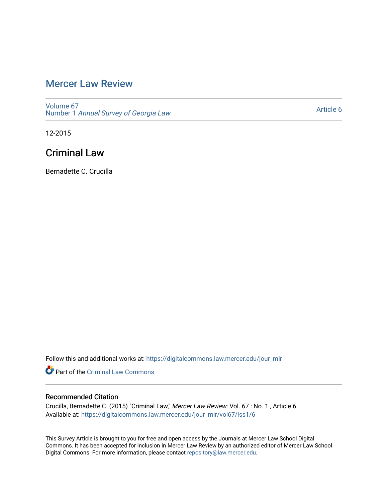# [Mercer Law Review](https://digitalcommons.law.mercer.edu/jour_mlr)

[Volume 67](https://digitalcommons.law.mercer.edu/jour_mlr/vol67) Number 1 [Annual Survey of Georgia Law](https://digitalcommons.law.mercer.edu/jour_mlr/vol67/iss1) 

[Article 6](https://digitalcommons.law.mercer.edu/jour_mlr/vol67/iss1/6) 

12-2015

# Criminal Law

Bernadette C. Crucilla

Follow this and additional works at: [https://digitalcommons.law.mercer.edu/jour\\_mlr](https://digitalcommons.law.mercer.edu/jour_mlr?utm_source=digitalcommons.law.mercer.edu%2Fjour_mlr%2Fvol67%2Fiss1%2F6&utm_medium=PDF&utm_campaign=PDFCoverPages)

Part of the [Criminal Law Commons](http://network.bepress.com/hgg/discipline/912?utm_source=digitalcommons.law.mercer.edu%2Fjour_mlr%2Fvol67%2Fiss1%2F6&utm_medium=PDF&utm_campaign=PDFCoverPages) 

## Recommended Citation

Crucilla, Bernadette C. (2015) "Criminal Law," Mercer Law Review: Vol. 67 : No. 1 , Article 6. Available at: [https://digitalcommons.law.mercer.edu/jour\\_mlr/vol67/iss1/6](https://digitalcommons.law.mercer.edu/jour_mlr/vol67/iss1/6?utm_source=digitalcommons.law.mercer.edu%2Fjour_mlr%2Fvol67%2Fiss1%2F6&utm_medium=PDF&utm_campaign=PDFCoverPages)

This Survey Article is brought to you for free and open access by the Journals at Mercer Law School Digital Commons. It has been accepted for inclusion in Mercer Law Review by an authorized editor of Mercer Law School Digital Commons. For more information, please contact [repository@law.mercer.edu](mailto:repository@law.mercer.edu).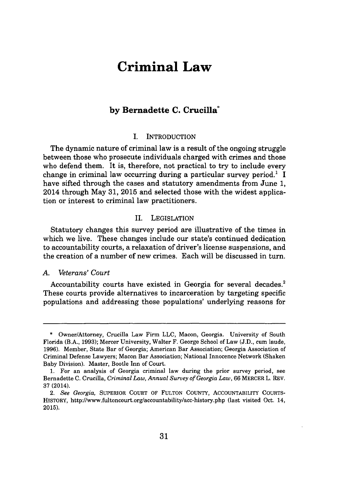# **Criminal Law**

## **by Bernadette C. Crucilla**

#### **I.** INTRODUCTION

The dynamic nature of criminal law is a result of the ongoing struggle between those who prosecute individuals charged with crimes and those who defend them. It is, therefore, not practical to try to include every change in criminal law occurring during a particular survey period.<sup>1</sup> I have sifted through the cases and statutory amendments from June **1,** 2014 through May **31, 2015** and selected those with the widest application or interest to criminal law practitioners.

#### II. LEGISLATION

Statutory changes this survey period are illustrative of the times in which we live. These changes include our state's continued dedication to accountability courts, a relaxation of driver's license suspensions, and the creation of a number of new crimes. Each will be discussed in turn.

#### *A. Veterans' Court*

Accountability courts have existed in Georgia for several decades.<sup>2</sup> These courts provide alternatives to incarceration **by** targeting specific populations and addressing those populations' underlying reasons for

**<sup>\*</sup>** Owner/Attorney, Crucilla Law Firm **LLC,** Macon, Georgia. University of South Florida (B.A., **1993);** Mercer University, Walter F. George School of Law **(J.D.,** cum laude, **1996).** Member, State Bar of Georgia; American Bar Association; Georgia Association of Criminal Defense Lawyers; Macon Bar Association; National Innocence Network (Shaken Baby Division). Master, Bootle Inn of Court.

**<sup>1.</sup>** For an analysis of Georgia criminal law during the prior survey period, see Bernadette **C.** Crucilla, *Criminal Law, Annual Survey of Georgia Law,* **66** MERCER L. REV. **37** (2014).

<sup>2.</sup> *See Georgia,* SUPERIOR **COURT** OF **FULTON** COUNTY, ACCOUNTABILITY **COURTS-**HISTORY, http://www.fultoncourt.org/accountability/acc-history.php (last visited Oct. 14, **2015).**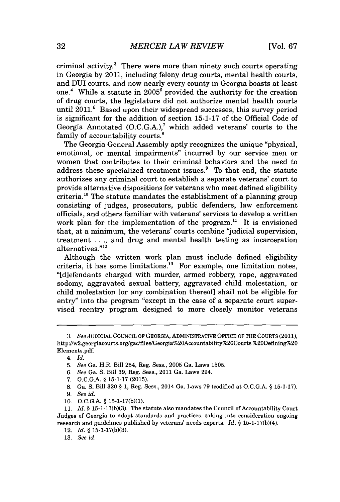criminal activity.' There were more than ninety such courts operating in Georgia **by** 2011, including felony drug courts, mental health courts, and **DUI** courts, and now nearly every county in Georgia boasts at least one.<sup>4</sup> While a statute in 2005<sup>5</sup> provided the authority for the creation of drug courts, the legislature did not authorize mental health courts until  $2011$ .<sup>6</sup> Based upon their widespread successes, this survey period is significant for the addition of section **15-1-17** of the Official Code of Georgia Annotated **(O.C.G.A.),'** which added veterans' courts to the family of accountability courts.<sup>8</sup>

The Georgia General Assembly aptly recognizes the unique "physical, emotional, or mental impairments" incurred **by** our service men or women that contributes to their criminal behaviors and the need to address these specialized treatment issues.<sup>9</sup> To that end, the statute authorizes any criminal court to establish a separate veterans' court to provide alternative dispositions for veterans who meet defined eligibility criteria.<sup>10</sup> The statute mandates the establishment of a planning group consisting of judges, prosecutors, public defenders, law enforcement officials, and others familiar with veterans' services to develop a written work plan for the implementation of the program.<sup>11</sup> It is envisioned that, at a minimum, the veterans' courts combine "judicial supervision, treatment **. . .,** and drug and mental health testing as incarceration alternatives."12

Although the written work plan must include defined eligibility criteria, it has some limitations.<sup>13</sup> For example, one limitation notes, "[diefendants charged with murder, armed robbery, rape, aggravated sodomy, aggravated sexual battery, aggravated child molestation, or child molestation [or any combination thereof] shall not be eligible for entry" into the program "except in the case of a separate court supervised reentry program designed to more closely monitor veterans

- **6.** *See Ga.* **S.** Bill **39,** Reg. Sess., 2011 Ga. Laws 224.
- **7. O.C.G.A. § 15-1-17 (2015).**
- **8.** Ga. **S.** Bill **320 § 1,** Reg. Sess., 2014 Ga. Laws **79** (codified at **O.C.G.A. § 15-1-17).**
- **9.** *See id.*
- **10. O.C.G.A. § 15-1-17(b)(1).**

- 12. *Id. §* **15-1-17(b)(3).**
- *13. See id.*

*<sup>3.</sup> See* **JUDICIAL COUNCIL OF GEORGIA, ADMINISTRATIVE OFFICE OF THE COURTS (2011),** http://w2.georgiacourts.org/ga/files/Georgia%2OAccountability%20Courts %20Defining%20 Elements.pdf.

<sup>4.</sup> *Id.*

**<sup>5.</sup>** *See* Ga. H.R. Bill 254, Reg. Sess., **2005** Ga. Laws **1505.**

**<sup>11.</sup>** *Id.* **§ 15-1-17(b)(3).** The statute also mandates the Council of Accountability Court Judges of Georgia to adopt standards and practices, taking into consideration ongoing research and guidelines published **by** veterans' needs experts. *Id.* **§ 15-1-17(b)(4).**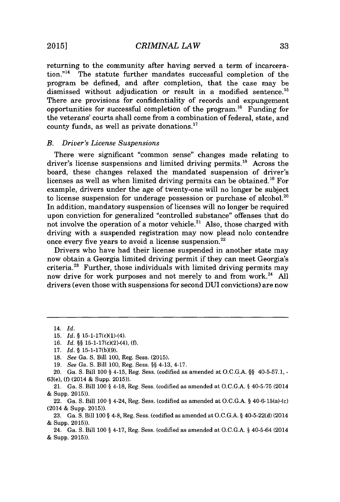returning to the community after having served a term of incarcera- $\mu$ <sub>14</sub> The statute further mandates successful completion of the program be defined, and after completion, that the case may be dismissed without adjudication or result in a modified sentence.<sup>15</sup> There are provisions for confidentiality of records and expungement opportunities for successful completion of the program.<sup>16</sup> Funding for the veterans' courts shall come from a combination of federal, state, and county funds, as well as private donations."

#### *B. Driver's License Suspensions*

There were significant "common sense" changes made relating to driver's license suspensions and limited driving permits.<sup>18</sup> Across the board, these changes relaxed the mandated suspension of driver's licenses as well as when limited driving permits can be obtained.<sup>19</sup> For example, drivers under the age of twenty-one will no longer be subject to license suspension for underage possession or purchase of alcohol. $20$ In addition, mandatory suspension of licenses will no longer be required upon conviction for generalized "controlled substance" offenses that do not involve the operation of a motor vehicle. $^{21}$  Also, those charged with driving with a suspended registration may now plead nolo contendre once every five years to avoid a license suspension.<sup>22</sup>

Drivers who have had their license suspended in another state may now obtain a Georgia limited driving permit if they can meet Georgia's criteria.<sup>23</sup> Further, those individuals with limited driving permits may now drive for work purposes and not merely to and from work.<sup>24</sup> All drivers (even those with suspensions for second DUI convictions) are now

<sup>14.</sup> *Id.*

**<sup>15.</sup>** *Id.* **§** 15-1-17(c)(1)-(4).

**<sup>16.</sup>** *Id.* **§§** 15-1-17(c)(2)-(4), **(f).**

**<sup>17.</sup>** *Id.* **§ 15-1-17(b)(9).**

**<sup>18.</sup>** *See Ga. S.* Bill **100,** Reg. Sess. **(2015).**

**<sup>19.</sup>** *See Ga. S.* Bill **100,** Reg. Sess. **§§** 4-13, 4-17.

<sup>20.</sup> Ga. **S.** Bill **100 §** 4-15, Reg. Sess. (codified as amended at **O.C.G.A. §§ 40-5-57.1,**  63(e), **(f)** (2014 **&** Supp. **2015)).**

<sup>21.</sup> Ga. **S.** Bill **100 §** 4-18, Reg. Sess. (codified as amended at **O.C.G.A. § 40-5-75** (2014 **&** Supp. **2015)).**

<sup>22.</sup> Ga. **S.** Bill **100 §** 4-24, Reg. Sess. (codified as amended at **O.C.G.A. §** 40-6-15(a)-(c) (2014 **&** Supp. **2015)).**

**<sup>23.</sup>** Ga. **S.** Bill **100 §** 4-8, Reg. Sess. (codified as amended at **O.C.G.A. §** 40-5-22(d) (2014 & Supp. **2015)).**

<sup>24.</sup> Ga. **S.** Bill **100 §** 4-17, Reg. Sess. (codified as amended at **O.C.G.A. §** 40-5-64 (2014 & Supp. **2015)).**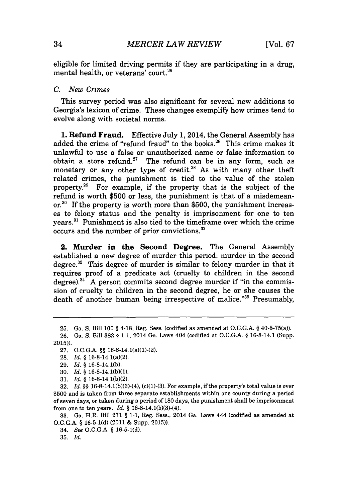eligible for limited driving permits if they are participating in a drug, mental health, or veterans' court.<sup>25</sup>

#### *C. New Crimes*

This survey period was also significant for several new additions to Georgia's lexicon of crime. These changes exemplify how crimes tend to evolve along with societal norms.

**1. Refund Fraud.** Effective July **1,** 2014, the General Assembly has added the crime of "refund fraud" to the books. $26$  This crime makes it unlawful to use a false or unauthorized name or false information to obtain a store refund.<sup>27</sup> The refund can be in any form, such as monetary or any other type of credit.<sup>28</sup> As with many other theft related crimes, the punishment is tied to the value of the stolen property.<sup>2</sup>9 For example, if the property that is the subject of the refund is worth **\$500** or less, the punishment is that of a misdemeanor.<sup>30</sup> If the property is worth more than \$500, the punishment increases to felony status and the penalty is imprisonment for one to ten years." Punishment is also tied to the timeframe over which the crime occurs and the number of prior convictions.

**2. Murder in the Second Degree.** The General Assembly established a new degree of murder this period: murder in the second degree. $33$  This degree of murder is similar to felony murder in that it requires proof of a predicate act (cruelty to children in the second degree).<sup>34</sup> A person commits second degree murder if "in the commission of cruelty to children in the second degree, he or she causes the death of another human being irrespective of malice."<sup>35</sup> Presumably,

**<sup>25.</sup>** Ga. **S.** Bill **100 §** 4-18, Reg. Sess. (codified as amended at **O.C.G.A. §** 40-5-75(a)).

**<sup>26.</sup>** Ga. **S.** Bill **382 § 1-1,** 2014 Ga. Laws 404 (codified at **O.C.G.A. §** 16-8-14.1 (Supp. **2015)).**

**<sup>27.</sup> O.C.G.A. §§** 16-8-14.1(a)(1)-(2).

**<sup>28.</sup>** *Id.* **§** 16-8-14.1(a)(2).

**<sup>29.</sup>** *Id. §* **16-8-14.1(b).**

**<sup>30.</sup>** *Id.* **§ 16-8-14.1(b)(1).**

**<sup>31.</sup>** *Id. §* **16-8-14.1(b)(2).**

**<sup>32.</sup>** *Id.* **§§** 16-8-14.1(b)(3)-(4), (c)(1)-(3). For example, *if* the property's total value is over **\$500** and is taken from three separate establishments within one county during a period of seven days, or taken during a period of **180** days, the punishment shall be imprisonment from one to ten years. *Id.* **§** 16-8-14.1(b)(3)-(4).

**<sup>33.</sup>** Ga. H.R. Bill **271 § 1-1,** Reg. Sess., 2014 Ga. Laws 444 (codified as amended at **O.C.G.A. § 16-5-1(d)** (2011 **&** Supp. **2015)).**

*<sup>34.</sup> See O.C.G.A.* **§ 16-5-1(d).**

**<sup>35.</sup>** *Id.*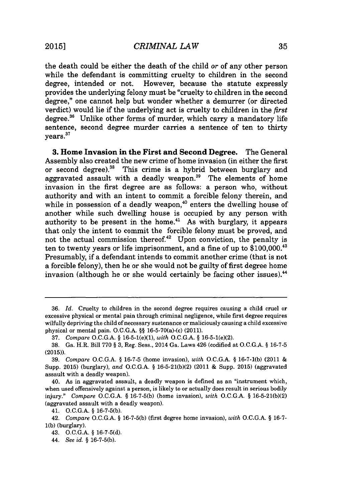the death could be either the death of the child or of any other person while the defendant is committing cruelty to children in the second degree, intended or not. However, because the statute expressly provides the underlying felony must be "cruelty to children in the second degree," one cannot help but wonder whether a demurrer (or directed verdict) would lie if the underlying act is cruelty to children in the *first* degree.<sup>36</sup> Unlike other forms of murder, which carry a mandatory life sentence, second degree murder carries a sentence of ten to thirty vears.<sup>37</sup>

**3. Home Invasion in the First and Second Degree.** The General Assembly also created the new crime of home invasion (in either the first or second degree).<sup>38</sup> This crime is a hybrid between burglary and aggravated assault with a deadly weapon.<sup>39</sup> The elements of home invasion in the first degree are as follows: a person who, without authority and with an intent to commit a forcible felony therein, and while in possession of a deadly weapon,<sup>40</sup> enters the dwelling house of another while such dwelling house is occupied **by** any person with authority to be present in the home.<sup>41</sup> As with burglary, it appears that only the intent to commit the forcible felony must be proved, and not the actual commission thereof.<sup>42</sup> Upon conviction, the penalty is ten to twenty years or life imprisonment, and a fine of up to  $$100,000.<sup>43</sup>$ Presumably, if a defendant intends to commit another crime (that is not a forcible felony), then he or she would not be guilty of first degree home invasion (although he or she would certainly be facing other issues).<sup>44</sup>

**<sup>36.</sup>** *Id.* Cruelty to children in the second degree requires causing a child cruel or excessive physical or mental pain through criminal negligence, while first degree requires wilfully depriving the child of necessary sustenance or maliciously causing a child excessive physical or mental pain. **O.C.G.A. §§** 16-5-70(a)-(c) (2011).

**<sup>37.</sup>** *Compare* **O.C.G.A. §** 16-5-1(e)(1), *with* **O.C.G.A. §** 16-5-1(e)(2).

**<sup>38.</sup>** Ga. H.R. Bill **770 § 3,** Reg. Sess., 2014 Ga. Laws 426 (codified at **O.C.G.A. § 16-7-5 (2015)).**

**<sup>39.</sup>** *Compare* **O.C.G.A. § 16-7-5** (home invasion), *with* **O.C.G.A. § 16-7-1(b)** (2011 Supp. **2015)** (burglary), *and* **O.C.G.A. § 16-5-21(b)(2)** (2011 **&** Supp. **2015)** (aggravated assault with a deadly weapon).

<sup>40.</sup> As in aggravated assault, a deadly weapon is defined as an "instrument which, when used offensively against a person, is likely to or actually does result in serious bodily injury." *Compare* **O.C.G.A. § 16-7-5(b)** (home invasion), *with* **O.C.G.A. § 16-5-21(b)(2)** (aggravated assault with a deadly weapon).

<sup>41.</sup> **O.C.G.A. § 16-7-5(b).**

<sup>42.</sup> *Compare* **O.C.G.A. § 16-7-5(b)** (first degree home invasion), *with O.C.G.A.* **§ 16-7- 1(b)** (burglary).

<sup>43.</sup> **O.C.G.A. § 16-7-5(d).**

<sup>44.</sup> *See id.* **§ 16-7-5(b).**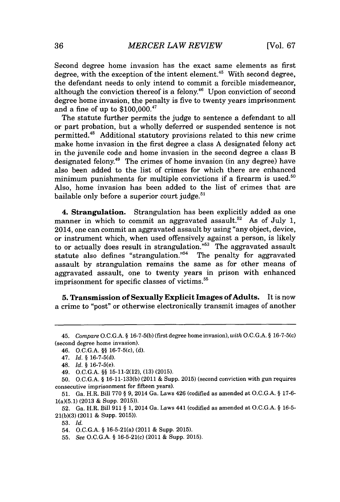Second degree home invasion has the exact same elements as first degree, with the exception of the intent element.<sup>45</sup> With second degree, the defendant needs to only intend to commit a forcible misdemeanor, although the conviction thereof is a felony.<sup>46</sup> Upon conviction of second degree home invasion, the penalty is five to twenty years imprisonment and a fine of up to \$100,000.47

The statute further permits the judge to sentence a defendant to all or part probation, but a wholly deferred or suspended sentence is not permitted.<sup>48</sup> Additional statutory provisions related to this new crime make home invasion in the first degree a class **A** designated felony act in the juvenile code and home invasion in the second degree a class B designated felony.<sup>49</sup> The crimes of home invasion (in any degree) have also been added to the list of crimes for which there are enhanced minimum punishments for multiple convictions if a firearm is used. $50$ Also, home invasion has been added to the list of crimes that are bailable only before a superior court judge.<sup>51</sup>

4. Strangulation. Strangulation has been explicitly added as one manner in which to commit an aggravated assault.<sup>52</sup> As of July 1, 2014, one can commit an aggravated assault **by** using "any object, device, or instrument which, when used offensively against a person, is likely to or actually does result in strangulation."<sup>53</sup> The aggravated assault statute also defines "strangulation."<sup>54</sup> The penalty for aggravated assault **by** strangulation remains the same as for other means of aggravated assault, one to twenty years in prison with enhanced imprisonment for specific classes of victims.<sup>55</sup>

**5. Transmission of Sexually Explicit Images of Adults.** It is now **a crime to "post" or otherwise electronically** transmit images of another

**53.** *Id.*

*<sup>45.</sup> Compare O.C.G.A.* **§ 16-7-5(b)** (first degree home invasion), *with* **O.C.G.A. §** 16-7-5(c) (second degree home invasion).

<sup>46.</sup> **O.C.G.A. §§** 16-7-5(c), **(d).**

<sup>47.</sup> *Id.* **§ 16-7-5(d).**

<sup>48.</sup> *Id.* **§** 16-7-5(e).

*<sup>49.</sup>* **O.C.G.A. §§** 15-11-2(12), **(13) (2015).**

**<sup>50.</sup> O.C.G.A. § 16-11-133(b)** (2011 *&* Supp. **2015)** (second conviction with gun requires consecutive imprisonment for fifteen years).

**<sup>51.</sup>** Ga. H.R. Bill **770 §** 9, 2014 Ga. Laws 426 (codified as amended at **O.C.G.A. § 17-6-** 1(a)(5.1) **(2013 &** Supp. **2015)).**

**<sup>52.</sup>** Ga. H.R. Bill **911 § 1,** 2014 Ga. Laws 441 (codified as amended at **O.C.G.A. § 16-5- 21(b)(3)** (2011 **&** Supp. **2015)).**

<sup>54.</sup> **O.C.G.A. §** 16-5-21(a) (2011 **&** Supp. **2015).**

*<sup>55.</sup> See O.C.G.A.* **§** 16-5-21(c) (2011 **&** Supp. **2015).**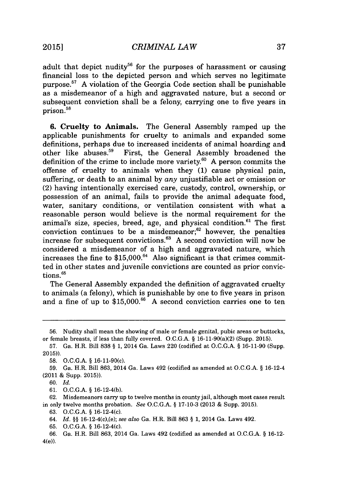adult that depict nudity<sup>56</sup> for the purposes of harassment or causing financial loss to the depicted person and which serves no legitimate purpose.<sup>5</sup> ' **A** violation of the Georgia Code section shall be punishable as a misdemeanor of a high and aggravated nature, but a second or subsequent conviction shall be a felony, carrying one to five years in **prison**.<sup>58</sup>

**6.** Cruelty to Animals. The General Assembly ramped up the applicable punishments for cruelty to animals and expanded some definitions, perhaps due to increased incidents of animal hoarding and other like abuses.<sup>59</sup> First, the General Assembly broadened the definition of the crime to include more variety."o **A** person commits the offense of cruelty to animals when they **(1)** cause physical pain, suffering, or death to an animal **by** *any* unjustifiable act or omission or (2) having intentionally exercised care, custody, control, ownership, or possession of an animal, fails to provide the animal adequate food, water, sanitary conditions, or ventilation consistent with what a reasonable person would believe is the normal requirement for the animal's size, species, breed, age, and physical condition.<sup>61</sup> The first conviction continues to be a misdemeanor; $62$  however, the penalties increase for subsequent convictions.<sup>63</sup>**A** second conviction will now be considered a misdemeanor of a high and aggravated nature, which increases the fine to \$15,000.<sup>64</sup> Also significant is that crimes committed in other states and juvenile convictions are counted as prior convictions.<sup>65</sup>

The General Assembly expanded the definition of aggravated cruelty to animals (a felony), which is punishable **by** one to five years in prison and a fine of up to \$15,000.<sup>66</sup> A second conviction carries one to ten

**<sup>56.</sup>** Nudity shall mean the showing of male or female genital, pubic areas or buttocks, or female breasts, if less than fully covered. **O.C.G.A. §** 16-11-90(a)(2) (Supp. **2015).**

**<sup>57.</sup>** Ga. H.R. Bill **838 § 1,** 2014 Ga. Laws 220 (codified at **O.C.G.A. § 16-11-90** (Supp. **2015)).**

**<sup>58.</sup> O.C.G.A. §** 16-11-90(c).

**<sup>59.</sup>** Ga. H.R. Bill **863,** 2014 Ga. Laws 492 (codified as amended at **O.C.G.A. §** 16-12-4 (2011 **&** Supp. **2015)).**

*<sup>60.</sup> Id.*

**<sup>61.</sup> O.C.G.A. §** 16-12-4(b).

**<sup>62.</sup>** Misdemeanors carry up to twelve months in county jail, although most cases result in only twelve months probation. *See* **O.C.G.A. § 17-10-3 (2013 &** Supp. **2015).**

**<sup>63.</sup> O.C.G.A. §** 16-12-4(c).

<sup>64.</sup> *Id.* **§§** 16-12-4(c),(e); *see also* Ga. H.R. Bill **863 § 1,** 2014 Ga. Laws 492.

**<sup>65.</sup> O.C.G.A. §** 16-12-4(c).

**<sup>66.</sup>** Ga. H.R. Bill **863,** 2014 Ga. Laws 492 (codified as amended at **O.C.G.A. § 16-12-** 4(e)).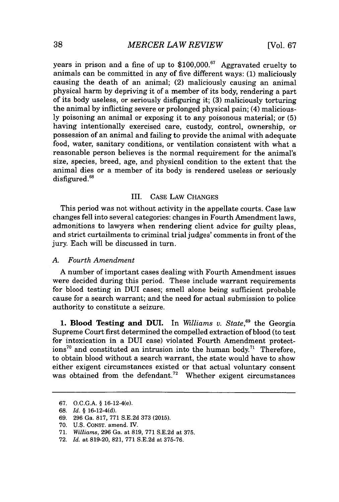years in prison and a fine of up to **\$100,000.67** Aggravated cruelty to animals can be committed in any of five different ways: **(1)** maliciously causing the death of an animal; (2) maliciously causing an animal physical harm **by** depriving it of a member of its body, rendering a part of its body useless, or seriously disfiguring it; **(3)** maliciously torturing the animal **by** inflicting severe or prolonged physical pain; (4) malicious**ly** poisoning an animal or exposing it to any poisonous material; or **(5)** having intentionally exercised care, custody, control, ownership, or possession of an animal and failing to provide the animal with adequate food, water, sanitary conditions, or ventilation consistent with what a reasonable person believes is the normal requirement for the animal's size, species, breed, age, and physical condition to the extent that the animal dies or a member of its body is rendered useless or seriously disfigured.<sup>68</sup>

### III. **CASE** LAW **CHANGES**

This period was not without activity in the appellate courts. Case law changes fell into several categories: changes in Fourth Amendment laws, admonitions to lawyers when rendering client advice for guilty pleas, and strict curtailments to criminal trial judges' comments in front of the jury. Each will be discussed in turn.

### *A. Fourth Amendment*

**A** number of important cases dealing with Fourth Amendment issues were decided during this period. These include warrant requirements for blood testing in DUI cases; smell alone being sufficient probable cause for a search warrant; and the need for actual submission to police authority to constitute a seizure.

**1. Blood Testing and DUI. In** *Williams v. State,"* the Georgia Supreme Court first determined the compelled extraction of blood (to test for intoxication in a DUI case) violated Fourth Amendment protect $ions<sup>70</sup>$  and constituted an intrusion into the human body.<sup>71</sup> Therefore, to obtain blood without a search warrant, the state would have to show either exigent circumstances existed or that actual voluntary consent was obtained from the defendant.<sup>72</sup> Whether exigent circumstances

**<sup>67.</sup> O.C.G.A.** *§* 16-12-4(e).

**<sup>68.</sup>** *Id. §* 16-12-4(d).

**<sup>69. 296</sup>** Ga. **817, 771 S.E.2d 373 (2015).**

**<sup>70.</sup> U.S. CONsT.** amend. IV.

**<sup>71.</sup>** *Williams,* **296** Ga. at **819, 771 S.E.2d** at **375.**

**<sup>72.</sup>** *Id.* at **819-20, 821, 771 S.E.2d** at **375-76.**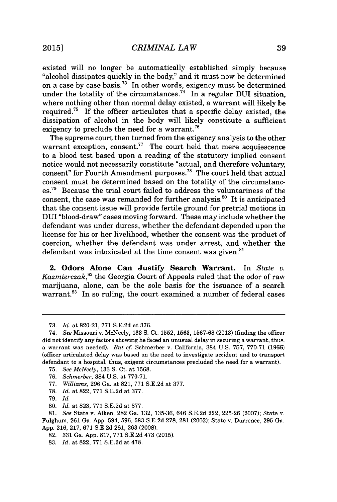existed will no longer be automatically established simply because "alcohol dissipates quickly in the body," and it must now be determined on a case **by** case basis." In other words, exigency must be determined under the totality of the circumstances.<sup>74</sup> In a regular DUI situation, where nothing other than normal delay existed, a warrant will likely be required." If the officer articulates that a specific delay existed, **the** dissipation of alcohol in the body will likely constitute a sufficient exigency to preclude the need for a warrant.<sup>76</sup>

The supreme court then turned from the exigency analysis to the other warrant exception, consent.<sup>77</sup> The court held that mere acquiescence to a blood test based upon a reading of the statutory implied consent notice would not necessarily constitute "actual, and therefore voluntary, consent" for Fourth Amendment purposes.<sup>78</sup> The court held that actual consent must be determined based on the totality of the circumstanc $e$ s.<sup>79</sup> Because the trial court failed to address the voluntariness of the consent, the case was remanded for further analysis. $80$  It is anticipated that the consent issue will provide fertile ground for pretrial motions in DUI "blood-draw" cases moving forward. These may include whether the defendant was under duress, whether the defendant depended upon the license for his or her livelihood, whether the consent was the product of coercion, whether the defendant was under arrest, and whether the defendant was intoxicated at the time consent was given.<sup>81</sup>

2. Odors Alone Can Justify Search Warrant. In *State v. Kazmierczak,82* the Georgia Court of Appeals ruled that the odor of raw marijuana, alone, can be the sole basis for the issuance of a search warrant.<sup>83</sup> In so ruling, the court examined a number of federal cases

**<sup>73.</sup>** *Id. at* **820-21, 771 S.E.2d** at **376.**

*<sup>74.</sup> See* Missouri v. McNeely, **133 S.** Ct. **1552, 1563, 1567-68 (2013)** (finding the officer did not identify any factors showing he faced an unusual delay in securing a warrant, thus, a warrant was needed). *But cf* Schmerber v. California, 384 **U.S. 757, 770-71 (1966)** (officer articulated delay was based on the need to investigate accident and to transport defendant to a hospital, thus, exigent circumstances precluded the need for a warrant).

**<sup>75.</sup>** *See McNeely,* **133 S.** Ct. at **1568.**

**<sup>76.</sup>** *Schmerber,* 384 **U.S.** at **770-71.**

**<sup>77.</sup>** *Williams,* **296** Ga. at **821, 771 S.E.2d** at **377.**

**<sup>78.</sup>** *Id.* at **822, 771 S.E.2d** at **377.**

**<sup>79.</sup>** *Id.*

**<sup>80.</sup>** *Id.* at **823, 771 S.E.2d** at **377.**

**<sup>81.</sup>** *See* State v. Aiken, **282** Ga. **132, 135-36,** 646 **S.E.2d** 222, **225-26 (2007);** State v. Fulghum, **261** Ga. **App.** 594, **596, 583 S.E.2d 278, 281 (2003);** State v. Durrence, **295** Ga. **App. 216, 217, 671 S.E.2d 261, 263 (2008).**

**<sup>82. 331</sup>** Ga. **App. 817, 771 S.E.2d** 473 **(2015).**

**<sup>83.</sup>** *Id.* at **822, 771 S.E.2d** at **478.**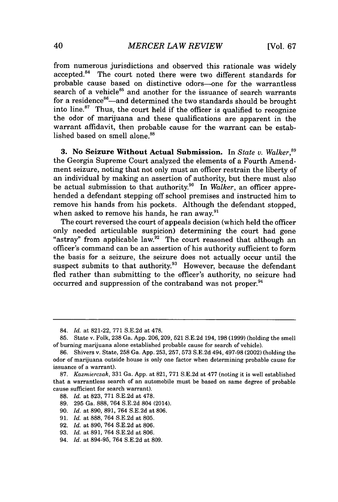from numerous jurisdictions and observed this rationale was widely accepted.<sup>84</sup> The court noted there were two different standards for probable cause based on distinctive odors-one for the warrantless search of a vehicle $85$  and another for the issuance of search warrants for a residence $86$ -and determined the two standards should be brought into line. $87$  Thus, the court held if the officer is qualified to recognize the odor of marijuana and these qualifications are apparent in the warrant affidavit, then probable cause for the warrant can be established based on smell alone  $^{88}$ 

**3.** No **Seizure Without Actual Submission. In** *State v. Walker,"* the Georgia Supreme Court analyzed the elements of a Fourth Amendment seizure, noting that not only must an officer restrain the liberty of an individual **by** making an assertion of authority, but there must also be actual submission to that authority.<sup>90</sup> In *Walker*, an officer apprehended a defendant stepping off school premises and instructed him to remove his hands from his pockets. Although the defendant stopped, when asked to remove his hands, he ran away. $91$ 

The court reversed the court of appeals decision (which held the officer only needed articulable suspicion) determining the court had gone "astray" from applicable law. $92$  The court reasoned that although an officer's command can be an assertion of his authority sufficient to form the basis for a seizure, the seizure does not actually occur until the suspect submits to that authority.<sup>93</sup> However, because the defendant fled rather than submitting to the officer's authority, no seizure had occurred and suppression of the contraband was not proper.<sup>94</sup>

<sup>84.</sup> *Id.* at **821-22, 771 S.E.2d** at **478.**

**<sup>85.</sup>** State v. Folk, **238** Ga. **App. 206, 209, 521 S.E.2d** 194, 198 **(1999)** (holding the smell of burning marijuana alone established probable cause for search of vehicle).

**<sup>86.</sup>** Shivers v. State, **258** Ga. **App. 253, 257, 573 S.E.2d** 494, **497-98** (2002) (holding the odor of marijuana outside house is only one factor when determining probable cause for issuance of a warrant).

**<sup>87.</sup>** *Kazmierczak,* **331** Ga. **App.** at **821, 771 S.E.2d** at **477** (noting it is well established that a warrantless search of an automobile must be based on same degree of probable cause sufficient for search warrant).

**<sup>88.</sup>** *Id.* at **823, 771 S.E.2d** at **478.**

**<sup>89. 295</sup>** Ga. **888,** 764 **S.E.2d** 804 (2014).

**<sup>90.</sup>** *Id.* at **890, 891,** 764 **S.E.2d** at **806.**

**<sup>91.</sup>** *Id.* at **888,** 764 **S.E.2d** at **805.**

**<sup>92.</sup>** *Id.* at **890,** 764 **S.E.2d** at **806.**

**<sup>93.</sup>** *Id.* at **891,** 764 **S.E.2d** at **806.**

<sup>94.</sup> *Id.* at **894-95,** 764 **S.E.2d** at **809.**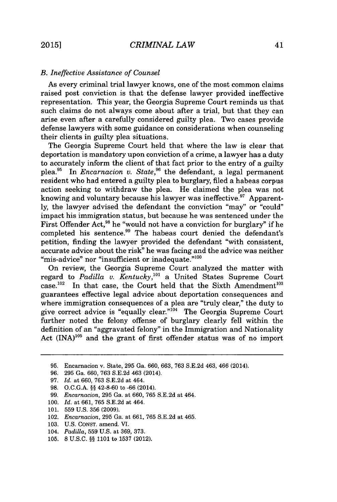## *B. Ineffective Assistance of Counsel*

As every criminal trial lawyer knows, one of the most common claims raised post conviction is that the defense lawyer provided ineffective representation. This year, the Georgia Supreme Court reminds us that such claims do not always come about after a trial, but that they can arise even after a carefully considered guilty plea. Two cases provide defense lawyers with some guidance on considerations when counseling their clients in guilty plea situations.

The Georgia Supreme Court held that where the law is clear that deportation is mandatory upon conviction of a crime, a lawyer has a duty to accurately inform the client of that fact prior to the entry of a guilty plea.<sup>95</sup> In *Encarnacion v. State*,<sup>96</sup> the defendant, a legal permanent resident who had entered a guilty plea to burglary, filed a habeas corpus action seeking to withdraw the plea. He claimed the plea was not knowing and voluntary because his lawyer was ineffective.<sup>97</sup> Apparent**ly,** the lawyer advised the defendant the conviction "may" or "could" impact his immigration status, but because he was sentenced under the First Offender Act,<sup>98</sup> he "would not have a conviction for burglary" if he completed his sentence.<sup>99</sup> The habeas court denied the defendant's petition, finding the lawyer provided the defendant "with consistent, accurate advice about the risk" he was facing and the advice was neither "mis-advice" nor "insufficient or inadequate." $100$ 

On review, the Georgia Supreme Court analyzed the matter with regard to *Padilla v. Kentucky*,<sup>101</sup> a United States Supreme Court case.<sup>102</sup> In that case, the Court held that the Sixth Amendment<sup>103</sup> guarantees effective legal advice about deportation consequences and where immigration consequences of a plea are "truly clear," the duty to give correct advice is "equally clear."<sup>104</sup> The Georgia Supreme Court further noted the felony offense of burglary clearly fell within the definition of an "aggravated felony" in the Immigration and Nationality Act  $(INA)^{105}$  and the grant of first offender status was of no import

- **100.** *Id.* at **661, 765 S.E.2d** at 464.
- **101. 559 U.S. 356 (2009).**
- 102. *Encarnacion,* **295** Ga. at **661, 765 S.E.2d** at 465.
- **103. U.S. CONST.** amend. VI.
- 104. *Padilla,* **559 U.S.** at **369, 373.**
- **105. 8 U.S.C.** *§§* **1101** to **1537** (2012).

**<sup>95.</sup>** Encarnacion v. State, **295** Ga. **660, 663, 763 S.E.2d** 463, 466 (2014).

**<sup>96. 295</sup>** Ga. **660, 763 S.E.2d** 463 (2014).

**<sup>97.</sup>** *Id. at* **660, 763 S.E.2d** at 464.

**<sup>98.</sup> O.C.G.A.** *§§* 42-8-60 to **-66** (2014).

**<sup>99.</sup>** *Encarnacion,* **295** Ga. at **660, 765 S.E.2d** at 464.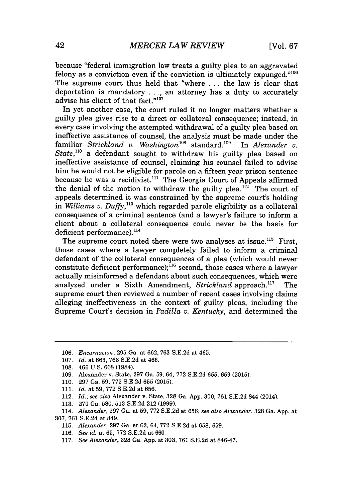because "federal immigration law treats a guilty plea to an aggravated felony as a conviction even if the conviction is ultimately expunged."' The supreme court thus held that "where **.** . **.** the law is clear that deportation is mandatory **. . .,** an attorney has a duty to accurately advise his client of that fact."<sup>107</sup>

In yet another case, the court ruled it no longer matters whether a guilty plea gives rise to a direct or collateral consequence; instead, in every case involving the attempted withdrawal of a guilty plea based on ineffective assistance of counsel, the analysis must be made under the familiar *Strickland v. Washington*<sup>108</sup> standard.<sup>109</sup> In *Alexander v. State,"o* a defendant sought to withdraw his guilty plea based on ineffective assistance of counsel, claiming his counsel failed to advise him he would not be eligible for parole on a fifteen year prison sentence because he was a recidivist.<sup>111</sup> The Georgia Court of Appeals affirmed the denial of the motion to withdraw the guilty plea.<sup>112</sup> The court of appeals determined it was constrained **by** the supreme court's holding in *Williams v. Duffy*,<sup>113</sup> which regarded parole eligibility as a collateral consequence of a criminal sentence (and a lawyer's failure to inform a client about a collateral consequence could never be the basis for deficient performance). $^{114}$ 

The supreme court noted there were two analyses at issue.<sup>115</sup> First, those cases where a lawyer completely failed to inform a criminal defendant of the collateral consequences of a plea (which would never constitute deficient performance); $^{16}$  second, those cases where a lawyer actually misinformed a defendant about such consequences, which were analyzed under a Sixth Amendment, *Strickland* approach.<sup>117</sup> The supreme court then reviewed a number of recent cases involving claims alleging ineffectiveness in the context of guilty pleas, including the Supreme Court's decision in *Padilla v. Kentucky,* and determined the

- **109.** Alexander v. State, **297** Ga. **59,** 64, **772 S.E.2d 655, 659 (2015).**
- **110. 297** Ga. **59, 772 S.E.2d 655 (2015).**
- **111.** *Id. at* **59, 772 S.E.2d** at **656.**
- 112. *Id.; see also* Alexander v. State, **328** Ga. **App. 300, 761 S.E.2d** 844 (2014).
- **113. 270** Ga. **580, 513 S.E.2d** 212 **(1999).**

- **115.** *Alexander,* **297** Ga. at **62,** 64, **772 S.E.2d** at **658, 659.**
- *116. See id.* at **65, 772 S.E.2d** at **660.**
- **117.** *See Alexander,* **328** Ga. **App.** at **303, 761 S.E.2d** at 846-47.

**<sup>106.</sup>** *Encarnacion,* **295** Ga. *at* **662, 763 S.E.2d** at 465.

**<sup>107.</sup>** *Id. at* **663, 763 S.E.2d** at 466.

**<sup>108.</sup>** 466 **U.S. 668** (1984).

<sup>114.</sup> *Alexander,* **297** Ga. at **59, 772 S.E.2d** at **656;** *see also Alexander,* **328** Ga. **App.** at **307, 761 S.E.2d** at 849.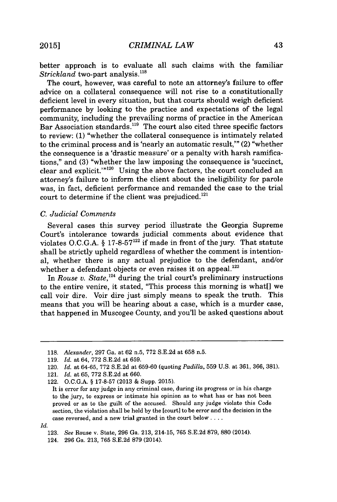better approach is to evaluate all such claims with the familiar *Strickland* two-part analysis.<sup>118</sup>

The court, however, was careful to note an attorney's failure to offer advice on a collateral consequence will not rise to a constitutionally deficient level in every situation, but that courts should weigh deficient performance **by** looking to the practice and expectations of the legal community, including the prevailing norms of practice in the American  $B$ ar Association standards.<sup>119</sup> The court also cited three specific factors to review: **(1)** "whether the collateral consequence is intimately related to the criminal process and is 'nearly an automatic result,'" (2) "whether the consequence is a 'drastic measure' or a penalty with harsh ramifications," and **(3)** "whether the law imposing the consequence is 'succinct, clear and explicit."<sup>120</sup> Using the above factors, the court concluded an attorney's failure to inform the client about the ineligibility for parole was, in fact, deficient performance and remanded the case to the trial court to determine if the client was prejudiced.

#### *C. Judicial Comments*

Several cases this survey period illustrate the Georgia Supreme Court's intolerance towards judicial comments about evidence that violates **O.C.G.A.** *§* **17-8-57122** if made in front of the jury. That statute shall be strictly upheld regardless of whether the comment is intentional, whether there is any actual prejudice to the defendant, and/or whether a defendant objects or even raises it on appeal.<sup>123</sup>

In *Rouse v. State*,<sup>124</sup> during the trial court's preliminary instructions to the entire venire, it stated, "This process this morning is what[] we call voir dire. Voir dire just simply means to speak the truth. This means that you will be hearing about a case, which is a murder case, that happened in Muscogee County, and you'll be asked questions about

*Id.*

**<sup>118.</sup>** *Alexander,* **297** Ga. at **62** n.5, **772 S.E.2d** at **658** n.5.

**<sup>119.</sup>** *Id. at* 64, **772 S.E.2d** at **659.**

<sup>120.</sup> *Id. at* **64-65, 772 S.E.2d** at **659-60** (quoting *Padilla,* **559 U.S.** at **361, 366, 381).**

<sup>121.</sup> *Id. at* **65, 772 S.E.2d** at **660.**

<sup>122.</sup> **O.C.G.A. § 17-8-57 (2013 &** Supp. **2015).**

It is error for any judge in any criminal case, during its progress or in his charge to the jury, to express or intimate his opinion as to what has or has not been proved or as to the guilt of the accused. Should any judge violate this Code section, the violation shall be held **by** the [court] to be error and the decision in the case reversed, and a new trial granted in the court below **....**

**<sup>123.</sup>** See Rouse v. State, **296** Ga. **213,** 214-15, **765 S.E.2d 879, 880** (2014).

<sup>124.</sup> **296** Ga. **213, 765 S.E.2d 879** (2014).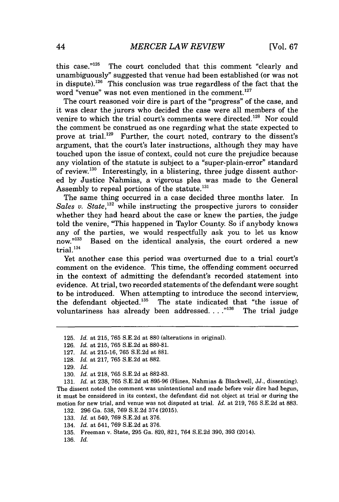this case."l<sup>2</sup>5 The court concluded that this comment "clearly and unambiguously" suggested that venue had been established (or was not in dispute).<sup>126</sup> This conclusion was true regardless of the fact that the word "venue" was not even mentioned in the comment.<sup>127</sup>

The court reasoned voir dire is part of the "progress" of the case, and it was clear the jurors who decided the case were all members of the venire to which the trial court's comments were directed.<sup>128</sup> Nor could the comment be construed as one regarding what the state expected to prove at trial.<sup>129</sup> Further, the court noted, contrary to the dissent's argument, that the court's later instructions, although they may have touched upon the issue of context, could not cure the prejudice because any violation of the statute is subject to a "super-plain-error" standard of review.<sup>130</sup> Interestingly, in a blistering, three judge dissent authored **by** Justice Nahmias, a vigorous plea was made to the General Assembly to repeal portions of the statute.<sup>131</sup>

The same thing occurred in a case decided three months later. In *Sales v. State*,<sup>132</sup> while instructing the prospective jurors to consider whether they had heard about the case or knew the parties, the judge told the venire, "This happened in Taylor County. So if anybody knows any of the parties, we would respectfully ask you to let us know now."<sup>133</sup> Based on the identical analysis, the court ordered a new Based on the identical analysis, the court ordered a new trial. $134$ 

Yet another case this period was overturned due to a trial court's comment on the evidence. This time, the offending comment occurred in the context of admitting the defendant's recorded statement into evidence. At trial, two recorded statements of the defendant were sought to be introduced. When attempting to introduce the second interview, the defendant objected.<sup>135</sup> The state indicated that "the issue of voluntariness has already been addressed..."<sup>136</sup> The trial judge voluntariness has already been addressed. . . .<sup>"136</sup>

**<sup>125.</sup>** *Id.* at **215, 765 S.E.2d** at **880** (alterations in original).

**<sup>126.</sup>** *Id.* at **215, 765 S.E.2d** at **880-81.**

**<sup>127.</sup>** *Id.* at **215-16, 765 S.E.2d** at **881.**

**<sup>128.</sup>** *Id.* at **217, 765 S.E.2d** at **882.**

**<sup>129.</sup>** *Id.*

**<sup>130.</sup>** *Id.* at **218, 765 S.E.2d** at **882-83.**

**<sup>131.</sup>** *Id.* at **238, 765 S.E.2d** at **895-96** (Hines, Nahmias **&** Blackwell, **JJ.,** dissenting). The dissent noted the comment was unintentional and made before voir dire had begun, it must be considered in its context, the defendant did not object at trial or during the motion for new trial, and venue was not disputed at trial. *Id.* at **219, 765 S.E.2d** at **883.**

**<sup>132. 296</sup>** Ga. **538, 769 S.E.2d** 374 **(2015).**

**<sup>133.</sup>** *Id.* at 540, **769 S.E.2d** at **376.**

<sup>134.</sup> *Id.* at 541, **769 S.E.2d** at **376.**

**<sup>135.</sup>** Freeman v. State, **295** Ga. **820, 821,** 764 **S.E.2d 390, 393** (2014).

**<sup>136.</sup>** *Id.*